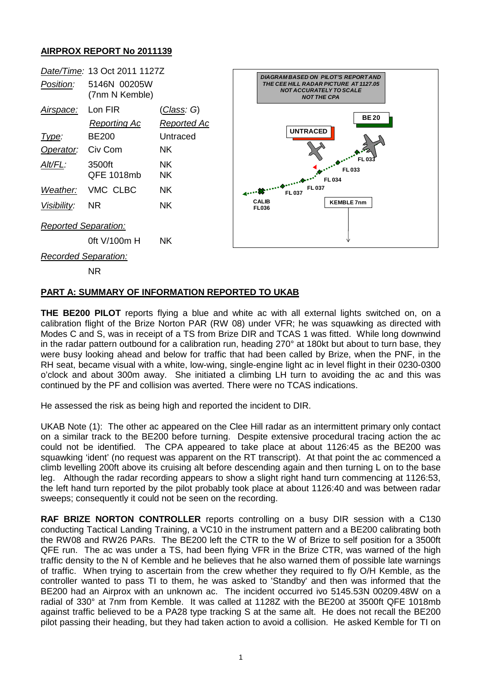## **AIRPROX REPORT No 2011139**

|                             | Date/Time: 13 Oct 2011 1127Z   |                                          |                                                                                                                                            |                  |
|-----------------------------|--------------------------------|------------------------------------------|--------------------------------------------------------------------------------------------------------------------------------------------|------------------|
| Position:                   | 5146N 00205W<br>(7nm N Kemble) |                                          | <b>DIAGRAM BASED ON PILOT'S REPORTAND</b><br>THE CEE HILL RADAR PICTURE AT 1127.05<br><b>NOT ACCURATELY TO SCALE</b><br><b>NOT THE CPA</b> |                  |
| <u>Airspace:</u>            | Lon FIR<br><b>Reporting Ac</b> | <u>(Class</u> : G)<br><b>Reported Ac</b> | <b>BE20</b><br><b>UNTRACED</b><br>FL 033<br>FL 033<br>FL 034                                                                               |                  |
| Type:                       | <b>BE200</b>                   | Untraced                                 |                                                                                                                                            |                  |
| Operator:                   | Civ Com                        | NK.                                      |                                                                                                                                            |                  |
| Alt/FL:                     | 3500ft<br>QFE 1018mb           | NK.<br><b>NK</b>                         |                                                                                                                                            |                  |
| Weather:                    | VMC CLBC                       | <b>NK</b>                                | FL 037<br><b>FL037</b>                                                                                                                     |                  |
| Visibility:                 | <b>NR</b>                      | <b>NK</b>                                | <b>CALIB</b><br><b>FL036</b>                                                                                                               | <b>KEMBLE7nm</b> |
| Reported Separation:        |                                |                                          |                                                                                                                                            |                  |
|                             | 0ft V/100m H                   | NK.                                      |                                                                                                                                            |                  |
| <b>Recorded Separation:</b> |                                |                                          |                                                                                                                                            |                  |

NR

## **PART A: SUMMARY OF INFORMATION REPORTED TO UKAB**

**THE BE200 PILOT** reports flying a blue and white ac with all external lights switched on, on a calibration flight of the Brize Norton PAR (RW 08) under VFR; he was squawking as directed with Modes C and S, was in receipt of a TS from Brize DIR and TCAS 1 was fitted. While long downwind in the radar pattern outbound for a calibration run, heading 270° at 180kt but about to turn base, they were busy looking ahead and below for traffic that had been called by Brize, when the PNF, in the RH seat, became visual with a white, low-wing, single-engine light ac in level flight in their 0230-0300 o'clock and about 300m away. She initiated a climbing LH turn to avoiding the ac and this was continued by the PF and collision was averted. There were no TCAS indications.

He assessed the risk as being high and reported the incident to DIR.

UKAB Note (1): The other ac appeared on the Clee Hill radar as an intermittent primary only contact on a similar track to the BE200 before turning. Despite extensive procedural tracing action the ac could not be identified. The CPA appeared to take place at about 1126:45 as the BE200 was squawking 'ident' (no request was apparent on the RT transcript). At that point the ac commenced a climb levelling 200ft above its cruising alt before descending again and then turning L on to the base leg. Although the radar recording appears to show a slight right hand turn commencing at 1126:53, the left hand turn reported by the pilot probably took place at about 1126:40 and was between radar sweeps; consequently it could not be seen on the recording.

**RAF BRIZE NORTON CONTROLLER** reports controlling on a busy DIR session with a C130 conducting Tactical Landing Training, a VC10 in the instrument pattern and a BE200 calibrating both the RW08 and RW26 PARs. The BE200 left the CTR to the W of Brize to self position for a 3500ft QFE run. The ac was under a TS, had been flying VFR in the Brize CTR, was warned of the high traffic density to the N of Kemble and he believes that he also warned them of possible late warnings of traffic. When trying to ascertain from the crew whether they required to fly O/H Kemble, as the controller wanted to pass TI to them, he was asked to 'Standby' and then was informed that the BE200 had an Airprox with an unknown ac. The incident occurred ivo 5145.53N 00209.48W on a radial of 330° at 7nm from Kemble. It was called at 1128Z with the BE200 at 3500ft QFE 1018mb against traffic believed to be a PA28 type tracking S at the same alt. He does not recall the BE200 pilot passing their heading, but they had taken action to avoid a collision. He asked Kemble for TI on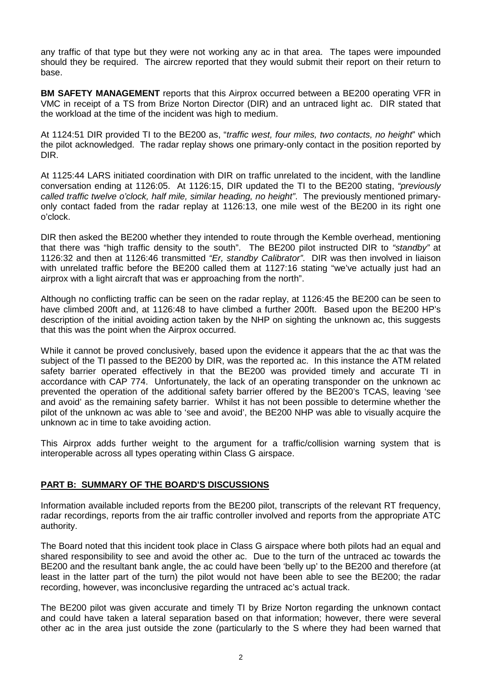any traffic of that type but they were not working any ac in that area. The tapes were impounded should they be required. The aircrew reported that they would submit their report on their return to base.

**BM SAFETY MANAGEMENT** reports that this Airprox occurred between a BE200 operating VFR in VMC in receipt of a TS from Brize Norton Director (DIR) and an untraced light ac. DIR stated that the workload at the time of the incident was high to medium.

At 1124:51 DIR provided TI to the BE200 as, "*traffic west, four miles, two contacts, no height*" which the pilot acknowledged. The radar replay shows one primary-only contact in the position reported by DIR.

At 1125:44 LARS initiated coordination with DIR on traffic unrelated to the incident, with the landline conversation ending at 1126:05. At 1126:15, DIR updated the TI to the BE200 stating, *"previously called traffic twelve o'clock, half mile, similar heading, no height"*. The previously mentioned primaryonly contact faded from the radar replay at 1126:13, one mile west of the BE200 in its right one o'clock.

DIR then asked the BE200 whether they intended to route through the Kemble overhead, mentioning that there was "high traffic density to the south". The BE200 pilot instructed DIR to *"standby"* at 1126:32 and then at 1126:46 transmitted *"Er, standby Calibrator"*. DIR was then involved in liaison with unrelated traffic before the BE200 called them at 1127:16 stating "we've actually just had an airprox with a light aircraft that was er approaching from the north".

Although no conflicting traffic can be seen on the radar replay, at 1126:45 the BE200 can be seen to have climbed 200ft and, at 1126:48 to have climbed a further 200ft. Based upon the BE200 HP's description of the initial avoiding action taken by the NHP on sighting the unknown ac, this suggests that this was the point when the Airprox occurred.

While it cannot be proved conclusively, based upon the evidence it appears that the ac that was the subject of the TI passed to the BE200 by DIR, was the reported ac. In this instance the ATM related safety barrier operated effectively in that the BE200 was provided timely and accurate TI in accordance with CAP 774. Unfortunately, the lack of an operating transponder on the unknown ac prevented the operation of the additional safety barrier offered by the BE200's TCAS, leaving 'see and avoid' as the remaining safety barrier. Whilst it has not been possible to determine whether the pilot of the unknown ac was able to 'see and avoid', the BE200 NHP was able to visually acquire the unknown ac in time to take avoiding action.

This Airprox adds further weight to the argument for a traffic/collision warning system that is interoperable across all types operating within Class G airspace.

## **PART B: SUMMARY OF THE BOARD'S DISCUSSIONS**

Information available included reports from the BE200 pilot, transcripts of the relevant RT frequency, radar recordings, reports from the air traffic controller involved and reports from the appropriate ATC authority.

The Board noted that this incident took place in Class G airspace where both pilots had an equal and shared responsibility to see and avoid the other ac. Due to the turn of the untraced ac towards the BE200 and the resultant bank angle, the ac could have been 'belly up' to the BE200 and therefore (at least in the latter part of the turn) the pilot would not have been able to see the BE200; the radar recording, however, was inconclusive regarding the untraced ac's actual track.

The BE200 pilot was given accurate and timely TI by Brize Norton regarding the unknown contact and could have taken a lateral separation based on that information; however, there were several other ac in the area just outside the zone (particularly to the S where they had been warned that